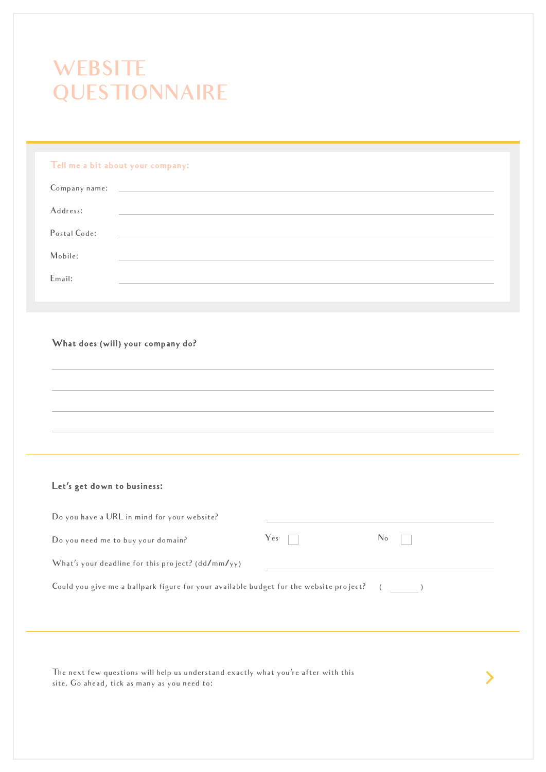# **WEBSITE QUESTIONNAIRE**

#### Tell me a bit about your company:

|              | Company name:                                                                                                         |
|--------------|-----------------------------------------------------------------------------------------------------------------------|
| Address:     |                                                                                                                       |
| Postal Code: | <u> 1989 - Andrea State Barbara, amerikan personal di personal dengan personal dengan personal dengan personal de</u> |
| Mobile:      |                                                                                                                       |
| Email:       |                                                                                                                       |

#### What does (will) your company do?

#### Let's get down to business:

| Do you have a URL in mind for your website?                                            |     |                |
|----------------------------------------------------------------------------------------|-----|----------------|
| Do you need me to buy your domain?                                                     | Yes | N <sub>0</sub> |
| What's your deadline for this project? (dd/mm/yy)                                      |     |                |
| Could you give me a ballpark figure for your available budget for the website project? |     | $($ )          |
|                                                                                        |     |                |
|                                                                                        |     |                |

ゝ

The next few questions will help us understand exactly what you're after with this site. Go ahead, tick as many as you need to: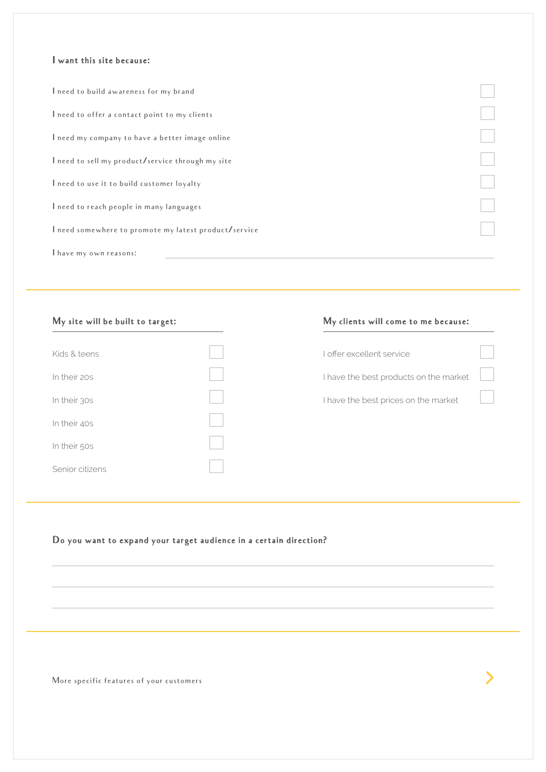#### I want this site because:

| I need to build awareness for my brand                |  |
|-------------------------------------------------------|--|
| I need to offer a contact point to my clients         |  |
| I need my company to have a better image online       |  |
| I need to sell my product/service through my site     |  |
| I need to use it to build customer loyalty            |  |
| I need to reach people in many languages              |  |
| I need somewhere to promote my latest product/service |  |
| I have my own reasons:                                |  |

| Kids & teens    |  |
|-----------------|--|
| In their 20s    |  |
| In their 30s    |  |
| In their 40s    |  |
| In their 50s    |  |
| Senior citizens |  |

#### My site will be built to target: My clients will come to me because:

| Loffer excellent service               |  |
|----------------------------------------|--|
| I have the best products on the market |  |

I have the best prices on the market

# Do you want to expand your target audience in a certain direction?

More specific features of your customers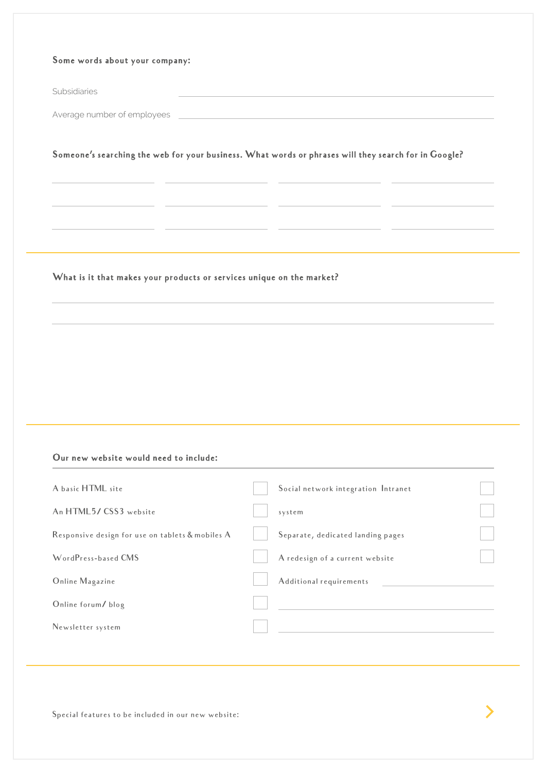#### Some words about your company:

Subsidiaries

Average number of employees

Someone's searching the web for your business. What words or phrases will they search for in Google?

#### What is it that makes your products or services unique on the market?

### Our new website would need to include:

| A basic HTML site                                |                                     |  |
|--------------------------------------------------|-------------------------------------|--|
|                                                  | Social network integration Intranet |  |
| An HTML5/CSS3 website                            | system                              |  |
| Responsive design for use on tablets & mobiles A | Separate, dedicated landing pages   |  |
| WordPress-based CMS                              | A redesign of a current website     |  |
| Online Magazine                                  | Additional requirements             |  |
| Online forum/blog                                |                                     |  |
| Newsletter system                                |                                     |  |
|                                                  |                                     |  |

Special features to be included in our new website: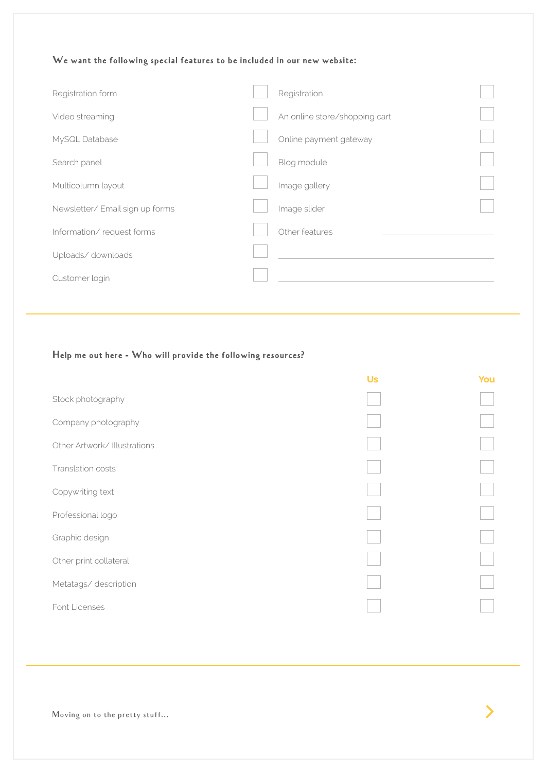# We want the following special features to be included in our new website:

| Registration form               | Registration                  |  |
|---------------------------------|-------------------------------|--|
| Video streaming                 | An online store/shopping cart |  |
| MySQL Database                  | Online payment gateway        |  |
| Search panel                    | Blog module                   |  |
| Multicolumn layout              | Image gallery                 |  |
| Newsletter/ Email sign up forms | Image slider                  |  |
| Information/request forms       | Other features                |  |
| Uploads/downloads               |                               |  |
| Customer login                  |                               |  |
|                                 |                               |  |

# Help me out here - Who will provide the following resources?

|                              | <b>Us</b> | You |
|------------------------------|-----------|-----|
| Stock photography            |           |     |
| Company photography          |           |     |
| Other Artwork/ Illustrations |           |     |
| Translation costs            |           |     |
| Copywriting text             |           |     |
| Professional logo            |           |     |
| Graphic design               |           |     |
| Other print collateral       |           |     |
| Metatags/description         |           |     |
| Font Licenses                |           |     |